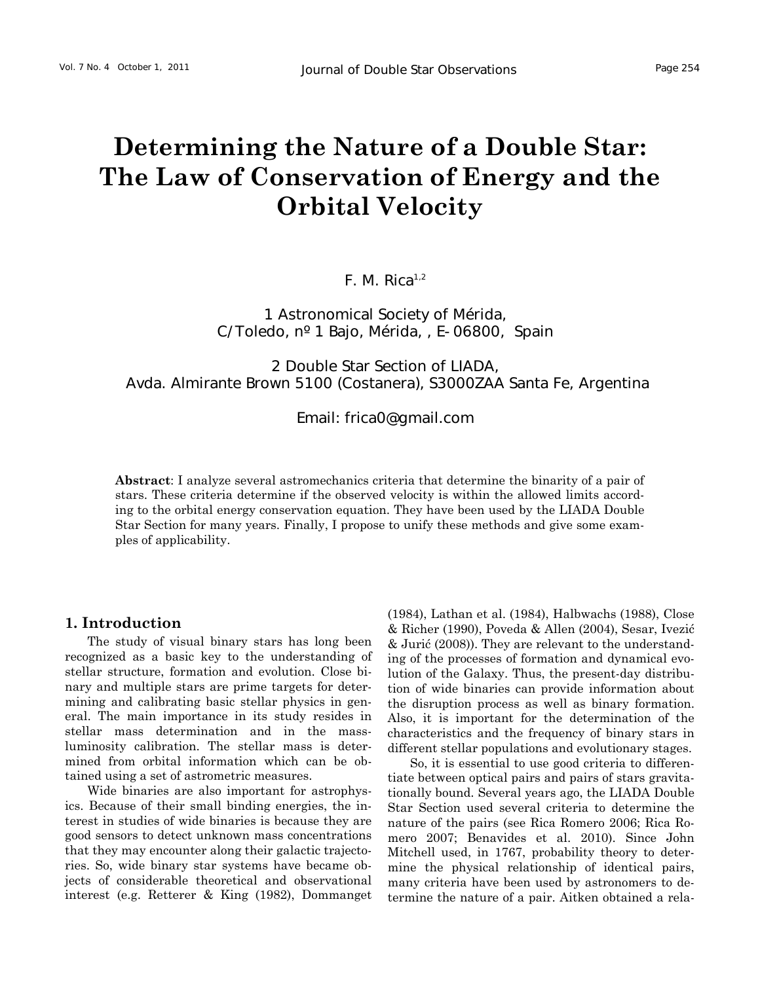# **Determining the Nature of a Double Star: The Law of Conservation of Energy and the Orbital Velocity**

 $F. M. Rica<sup>1,2</sup>$ 

1 Astronomical Society of Mérida, C/Toledo, nº 1 Bajo, Mérida, , E-06800, Spain

2 Double Star Section of LIADA, Avda. Almirante Brown 5100 (Costanera), S3000ZAA Santa Fe, Argentina

Email: [frica0@gmail.com](mailto:frica0@gmail.com) 

**Abstract**: I analyze several astromechanics criteria that determine the binarity of a pair of stars. These criteria determine if the observed velocity is within the allowed limits according to the orbital energy conservation equation. They have been used by the LIADA Double Star Section for many years. Finally, I propose to unify these methods and give some examples of applicability.

# **1. Introduction**

The study of visual binary stars has long been recognized as a basic key to the understanding of stellar structure, formation and evolution. Close binary and multiple stars are prime targets for determining and calibrating basic stellar physics in general. The main importance in its study resides in stellar mass determination and in the massluminosity calibration. The stellar mass is determined from orbital information which can be obtained using a set of astrometric measures.

Wide binaries are also important for astrophysics. Because of their small binding energies, the interest in studies of wide binaries is because they are good sensors to detect unknown mass concentrations that they may encounter along their galactic trajectories. So, wide binary star systems have became objects of considerable theoretical and observational interest (e.g. Retterer & King (1982), Dommanget (1984), Lathan et al. (1984), Halbwachs (1988), Close & Richer (1990), Poveda & Allen (2004), Sesar, Ivezić & Jurić (2008)). They are relevant to the understanding of the processes of formation and dynamical evolution of the Galaxy. Thus, the present-day distribution of wide binaries can provide information about the disruption process as well as binary formation. Also, it is important for the determination of the characteristics and the frequency of binary stars in different stellar populations and evolutionary stages.

So, it is essential to use good criteria to differentiate between optical pairs and pairs of stars gravitationally bound. Several years ago, the LIADA Double Star Section used several criteria to determine the nature of the pairs (see Rica Romero 2006; Rica Romero 2007; Benavides et al. 2010). Since John Mitchell used, in 1767, probability theory to determine the physical relationship of identical pairs, many criteria have been used by astronomers to determine the nature of a pair. Aitken obtained a rela-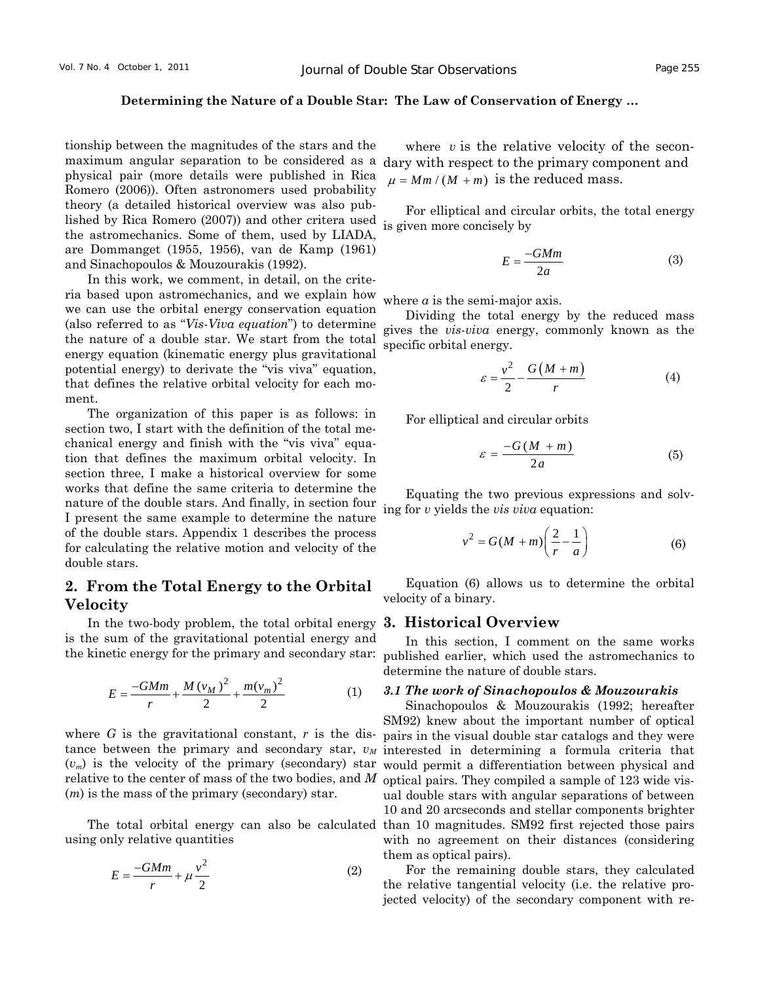tionship between the magnitudes of the stars and the maximum angular separation to be considered as a physical pair (more details were published in Rica Romero (2006)). Often astronomers used probability theory (a detailed historical overview was also published by Rica Romero (2007)) and other critera used the astromechanics. Some of them, used by LIADA, are Dommanget (1955, 1956), van de Kamp (1961) and Sinachopoulos & Mouzourakis (1992).

In this work, we comment, in detail, on the criteria based upon astromechanics, and we explain how we can use the orbital energy conservation equation (also referred to as "*Vis-Viva equation*") to determine the nature of a double star. We start from the total energy equation (kinematic energy plus gravitational potential energy) to derivate the "vis viva" equation, that defines the relative orbital velocity for each moment.

The organization of this paper is as follows: in section two, I start with the definition of the total mechanical energy and finish with the "vis viva" equation that defines the maximum orbital velocity. In section three, I make a historical overview for some works that define the same criteria to determine the nature of the double stars. And finally, in section four I present the same example to determine the nature of the double stars. Appendix 1 describes the process for calculating the relative motion and velocity of the double stars.

# **2. From the Total Energy to the Orbital Velocity**

In the two-body problem, the total orbital energy **3. Historical Overview**  is the sum of the gravitational potential energy and the kinetic energy for the primary and secondary star:

$$
E = \frac{-GMm}{r} + \frac{M(v_M)^2}{2} + \frac{m(v_m)^2}{2}
$$
 (1)

where *G* is the gravitational constant, *r* is the dis- $(v_m)$  is the velocity of the primary (secondary) star relative to the center of mass of the two bodies, and *M* optical pairs. They compiled a sample of 123 wide vis-(*m*) is the mass of the primary (secondary) star.

The total orbital energy can also be calculated using only relative quantities

$$
E = \frac{-GMm}{r} + \mu \frac{v^2}{2} \tag{2}
$$

where *v* is the relative velocity of the secondary with respect to the primary component and  $\mu = Mm/(M+m)$  is the reduced mass.

For elliptical and circular orbits, the total energy is given more concisely by

$$
E = \frac{-GMm}{2a} \tag{3}
$$

where *a* is the semi-major axis.

Dividing the total energy by the reduced mass gives the *vis-viva* energy, commonly known as the specific orbital energy.

$$
\varepsilon = \frac{v^2}{2} - \frac{G(M+m)}{r} \tag{4}
$$

For elliptical and circular orbits

$$
\varepsilon = \frac{-G(M+m)}{2a} \tag{5}
$$

Equating the two previous expressions and solving for *v* yields the *vis viva* equation:

$$
v^2 = G(M+m)\left(\frac{2}{r} - \frac{1}{a}\right) \tag{6}
$$

Equation (6) allows us to determine the orbital velocity of a binary.

In this section, I comment on the same works published earlier, which used the astromechanics to determine the nature of double stars.

#### *3.1 The work of Sinachopoulos & Mouzourakis*

tance between the primary and secondary star,  $v_M$  interested in determining a formula criteria that Sinachopoulos & Mouzourakis (1992; hereafter SM92) knew about the important number of optical pairs in the visual double star catalogs and they were would permit a differentiation between physical and ual double stars with angular separations of between 10 and 20 arcseconds and stellar components brighter than 10 magnitudes. SM92 first rejected those pairs with no agreement on their distances (considering them as optical pairs).

> For the remaining double stars, they calculated the relative tangential velocity (i.e. the relative projected velocity) of the secondary component with re-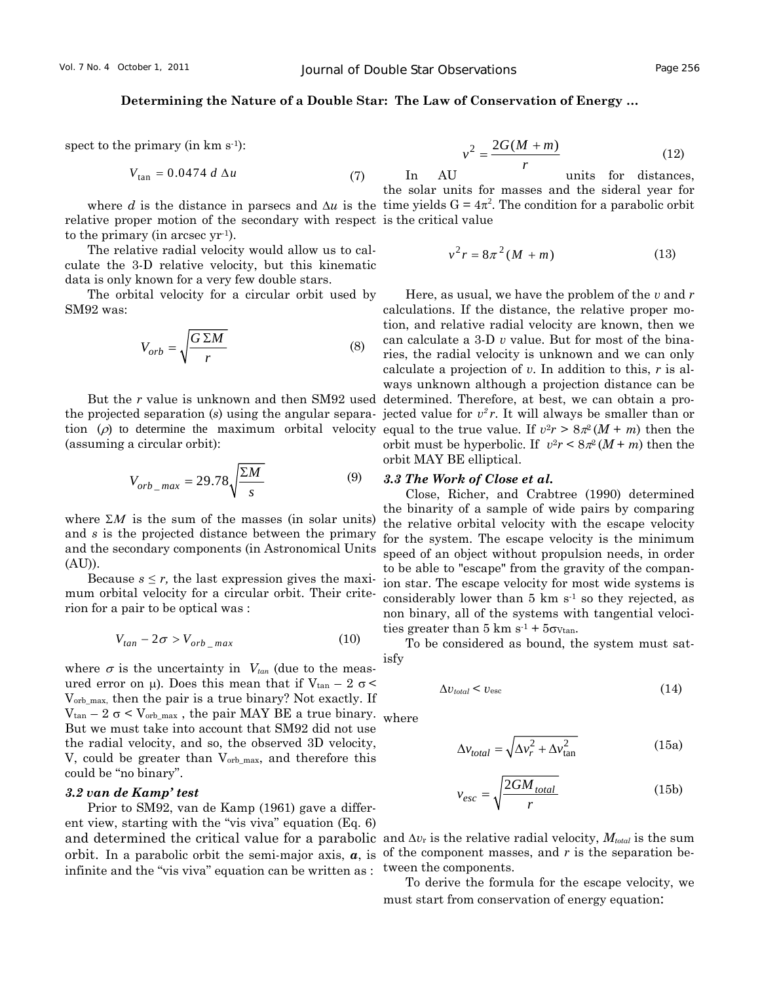spect to the primary (in  $km s^{-1}$ ):

$$
V_{\text{tan}} = 0.0474 \ d \Delta u \tag{7}
$$

relative proper motion of the secondary with respect is the critical value to the primary (in arcsec yr-1).

The relative radial velocity would allow us to calculate the 3-D relative velocity, but this kinematic data is only known for a very few double stars.

The orbital velocity for a circular orbit used by SM92 was:

$$
V_{orb} = \sqrt{\frac{G \Sigma M}{r}}
$$
 (8)

But the *r* value is unknown and then SM92 used the projected separation (*s*) using the angular separation  $(\rho)$  to determine the maximum orbital velocity (assuming a circular orbit):

$$
V_{orb\_max} = 29.78 \sqrt{\frac{\Sigma M}{s}}
$$
 (9)

where  $\Sigma M$  is the sum of the masses (in solar units) and *s* is the projected distance between the primary and the secondary components (in Astronomical Units (AU)).

Because  $s \leq r$ , the last expression gives the maximum orbital velocity for a circular orbit. Their criterion for a pair to be optical was :

$$
V_{tan} - 2\sigma > V_{orb\_max} \tag{10}
$$

where  $\sigma$  is the uncertainty in  $V_{tan}$  (due to the measured error on μ). Does this mean that if  $V_{tan} - 2 \sigma$ Vorb\_max, then the pair is a true binary? Not exactly. If  $V_{tan}$  – 2  $\sigma$  <  $V_{orb\_max}$ , the pair MAY BE a true binary. But we must take into account that SM92 did not use the radial velocity, and so, the observed 3D velocity, V, could be greater than Vorb\_max, and therefore this could be "no binary".

### *3.2 van de Kamp' test*

Prior to SM92, van de Kamp (1961) gave a different view, starting with the "vis viva" equation (Eq. 6) and determined the critical value for a parabolic and  $\Delta v_r$  is the relative radial velocity,  $M_{total}$  is the sum orbit. In a parabolic orbit the semi-major axis,  $a$ , is of the component masses, and  $r$  is the separation beinfinite and the "vis viva" equation can be written as :

$$
v^2 = \frac{2G(M+m)}{r} \tag{12}
$$

where *d* is the distance in parsecs and  $\Delta u$  is the time yields  $G = 4\pi^2$ . The condition for a parabolic orbit In AU units for distances, the solar units for masses and the sideral year for

$$
v^2r = 8\pi^2(M+m)
$$
 (13)

Here, as usual, we have the problem of the *v* and *r* calculations. If the distance, the relative proper motion, and relative radial velocity are known, then we can calculate a 3-D *v* value. But for most of the binaries, the radial velocity is unknown and we can only calculate a projection of *v*. In addition to this, *r* is always unknown although a projection distance can be determined. Therefore, at best, we can obtain a projected value for  $v^2 r$ . It will always be smaller than or equal to the true value. If  $v^2r > 8\pi^2(M+m)$  then the orbit must be hyperbolic. If  $v^2r \leq 8\pi^2(M+m)$  then the orbit MAY BE elliptical.

#### *3.3 The Work of Close et al.*

Close, Richer, and Crabtree (1990) determined the binarity of a sample of wide pairs by comparing the relative orbital velocity with the escape velocity for the system. The escape velocity is the minimum speed of an object without propulsion needs, in order to be able to "escape" from the gravity of the companion star. The escape velocity for most wide systems is considerably lower than  $5 \text{ km s}^{-1}$  so they rejected, as non binary, all of the systems with tangential velocities greater than  $5 \text{ km s}^{-1} + 5\sigma_{Vtan}$ .

To be considered as bound, the system must satisfy

$$
\Delta v_{total} < v_{\rm esc} \tag{14}
$$

where

$$
\Delta v_{total} = \sqrt{\Delta v_r^2 + \Delta v_{tan}^2}
$$
 (15a)

$$
v_{esc} = \sqrt{\frac{2GM_{total}}{r}}
$$
 (15b)

tween the components.

To derive the formula for the escape velocity, we must start from conservation of energy equation: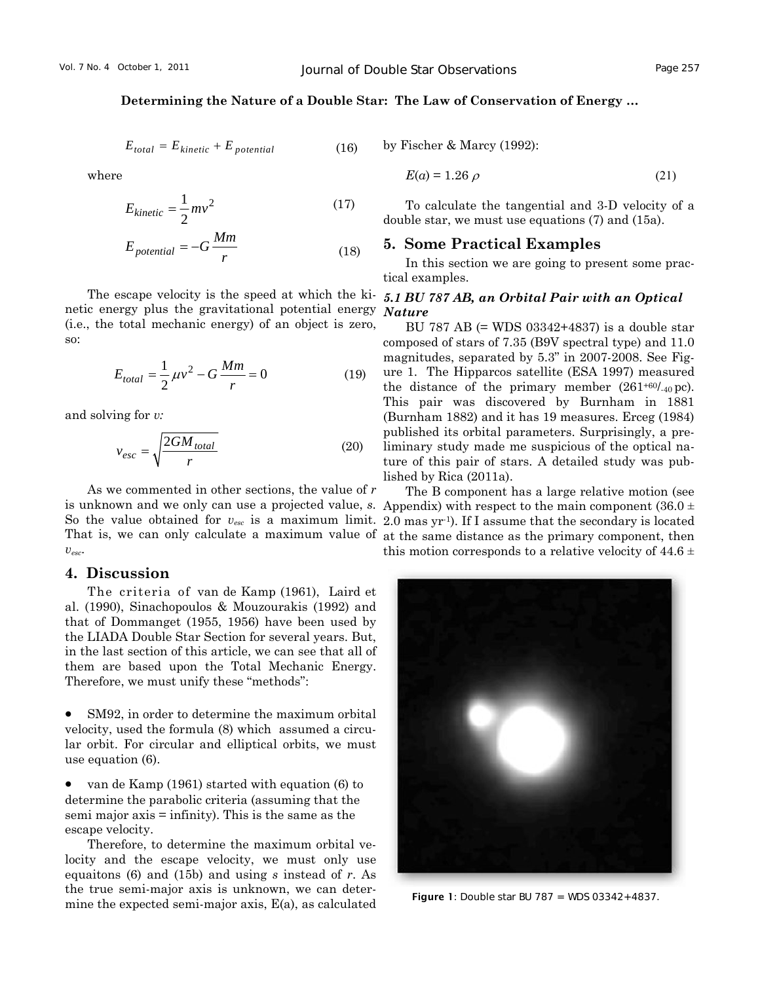$$
E_{total} = E_{kinetic} + E_{potential}
$$
 (16)

where

$$
E_{kinetic} = \frac{1}{2}mv^2
$$
 (17)

$$
E_{potential} = -G \frac{Mm}{r}
$$
 (18)

The escape velocity is the speed at which the kinetic energy plus the gravitational potential energy (i.e., the total mechanic energy) of an object is zero, so:

$$
E_{total} = \frac{1}{2} \mu v^2 - G \frac{Mm}{r} = 0
$$
 (19)

and solving for *v:* 

$$
v_{esc} = \sqrt{\frac{2GM_{total}}{r}}
$$
 (20)

As we commented in other sections, the value of *r vesc*.

# **4. Discussion**

The criteria of van de Kamp (1961), Laird et al. (1990), Sinachopoulos & Mouzourakis (1992) and that of Dommanget (1955, 1956) have been used by the LIADA Double Star Section for several years. But, in the last section of this article, we can see that all of them are based upon the Total Mechanic Energy. Therefore, we must unify these "methods":

SM92, in order to determine the maximum orbital velocity, used the formula (8) which assumed a circular orbit. For circular and elliptical orbits, we must use equation (6).

• van de Kamp (1961) started with equation (6) to determine the parabolic criteria (assuming that the semi major  $axis =$  infinity). This is the same as the escape velocity.

Therefore, to determine the maximum orbital velocity and the escape velocity, we must only use equaitons (6) and (15b) and using *s* instead of *r*. As the true semi-major axis is unknown, we can determine the expected semi-major axis, E(a), as calculated

by Fischer & Marcy (1992):

$$
E(a) = 1.26 \rho \tag{21}
$$

To calculate the tangential and 3-D velocity of a double star, we must use equations (7) and (15a).

## **5. Some Practical Examples**

In this section we are going to present some practical examples.

#### *5.1 BU 787 AB, an Orbital Pair with an Optical Nature*

BU 787 AB (= WDS 03342+4837) is a double star composed of stars of 7.35 (B9V spectral type) and 11.0 magnitudes, separated by 5.3" in 2007-2008. See Figure 1. The Hipparcos satellite (ESA 1997) measured the distance of the primary member  $(261^{+60}L_{40})$  pc). This pair was discovered by Burnham in 1881 (Burnham 1882) and it has 19 measures. Erceg (1984) published its orbital parameters. Surprisingly, a preliminary study made me suspicious of the optical nature of this pair of stars. A detailed study was published by Rica (2011a).

is unknown and we only can use a projected value, *s*. Appendix) with respect to the main component (36.0 ± So the value obtained for  $v_{esc}$  is a maximum limit. 2.0 mas yr<sup>-1</sup>). If I assume that the secondary is located That is, we can only calculate a maximum value of at the same distance as the primary component, then The B component has a large relative motion (see this motion corresponds to a relative velocity of  $44.6 \pm$ 



**Figure 1:** Double star BU 787 = WDS  $03342+4837$ .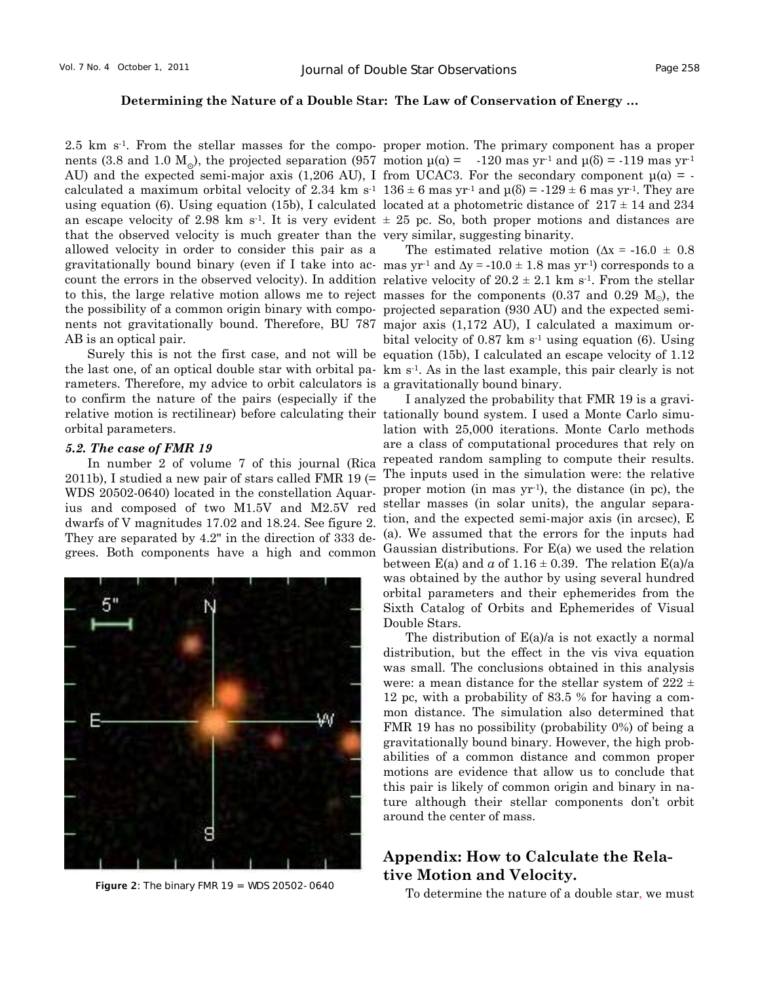nents (3.8 and 1.0  $M_{\odot}$ ), the projected separation (957 motion  $\mu(\alpha) = -120$  mas yr<sup>-1</sup> and  $\mu(6) = -119$  mas yr<sup>-1</sup> AU) and the expected semi-major axis (1,206 AU), I from UCAC3. For the secondary component  $\mu(\alpha)$  = that the observed velocity is much greater than the very similar, suggesting binarity. allowed velocity in order to consider this pair as a gravitationally bound binary (even if I take into ac- mas  $yr<sup>-1</sup>$  and  $\Delta y = -10.0 \pm 1.8$  mas  $yr<sup>-1</sup>$ ) corresponds to a count the errors in the observed velocity). In addition relative velocity of  $20.2 \pm 2.1$  km s<sup>-1</sup>. From the stellar to this, the large relative motion allows me to reject masses for the components  $(0.37 \text{ and } 0.29 \text{ M}_\odot)$ , the the possibility of a common origin binary with compo-projected separation (930 AU) and the expected seminents not gravitationally bound. Therefore, BU 787 major axis (1,172 AU), I calculated a maximum or-AB is an optical pair.

the last one, of an optical double star with orbital pa- km s<sup>-1</sup>. As in the last example, this pair clearly is not rameters. Therefore, my advice to orbit calculators is a gravitationally bound binary. to confirm the nature of the pairs (especially if the relative motion is rectilinear) before calculating their tationally bound system. I used a Monte Carlo simuorbital parameters.

#### *5.2. The case of FMR 19*

In number 2 of volume 7 of this journal (Rica 2011b), I studied a new pair of stars called FMR 19 (= WDS 20502-0640) located in the constellation Aquarius and composed of two M1.5V and M2.5V red dwarfs of V magnitudes 17.02 and 18.24. See figure 2. They are separated by 4.2" in the direction of 333 degrees. Both components have a high and common



2.5 km s<sup>-1</sup>. From the stellar masses for the compo- proper motion. The primary component has a proper calculated a maximum orbital velocity of 2.34 km s<sup>-1</sup>  $136 \pm 6$  mas yr<sup>-1</sup> and  $\mu$ (δ) =  $-129 \pm 6$  mas yr<sup>-1</sup>. They are using equation (6). Using equation (15b), I calculated located at a photometric distance of  $217 \pm 14$  and  $234$ an escape velocity of 2.98 km s<sup>-1</sup>. It is very evident  $\pm$  25 pc. So, both proper motions and distances are

Surely this is not the first case, and not will be equation (15b), I calculated an escape velocity of 1.12 The estimated relative motion ( $\Delta x = -16.0 \pm 0.8$ ) bital velocity of  $0.87 \text{ km s}^{-1}$  using equation (6). Using

> I analyzed the probability that FMR 19 is a gravilation with 25,000 iterations. Monte Carlo methods are a class of computational procedures that rely on repeated random sampling to compute their results. The inputs used in the simulation were: the relative proper motion (in mas yr-1), the distance (in pc), the stellar masses (in solar units), the angular separation, and the expected semi-major axis (in arcsec), E (a). We assumed that the errors for the inputs had Gaussian distributions. For E(a) we used the relation between E(a) and  $a$  of 1.16  $\pm$  0.39. The relation E(a)/a was obtained by the author by using several hundred orbital parameters and their ephemerides from the Sixth Catalog of Orbits and Ephemerides of Visual Double Stars.

> The distribution of E(a)/a is not exactly a normal distribution, but the effect in the vis viva equation was small. The conclusions obtained in this analysis were: a mean distance for the stellar system of  $222 \pm$ 12 pc, with a probability of 83.5 % for having a common distance. The simulation also determined that FMR 19 has no possibility (probability 0%) of being a gravitationally bound binary. However, the high probabilities of a common distance and common proper motions are evidence that allow us to conclude that this pair is likely of common origin and binary in nature although their stellar components don't orbit around the center of mass.

# **Appendix: How to Calculate the Relative Motion and Velocity.**

Figure 2: The binary FMR 19 = WDS 20502-0640<br>To determine the nature of a double star, we must